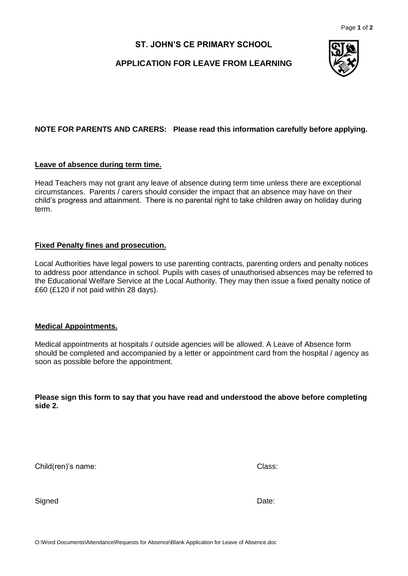## **ST. JOHN'S CE PRIMARY SCHOOL**

## **APPLICATION FOR LEAVE FROM LEARNING**



### **NOTE FOR PARENTS AND CARERS: Please read this information carefully before applying.**

#### **Leave of absence during term time.**

Head Teachers may not grant any leave of absence during term time unless there are exceptional circumstances. Parents / carers should consider the impact that an absence may have on their child's progress and attainment. There is no parental right to take children away on holiday during term.

#### **Fixed Penalty fines and prosecution.**

Local Authorities have legal powers to use parenting contracts, parenting orders and penalty notices to address poor attendance in school. Pupils with cases of unauthorised absences may be referred to the Educational Welfare Service at the Local Authority. They may then issue a fixed penalty notice of £60 (£120 if not paid within 28 days).

#### **Medical Appointments.**

Medical appointments at hospitals / outside agencies will be allowed. A Leave of Absence form should be completed and accompanied by a letter or appointment card from the hospital / agency as soon as possible before the appointment.

**Please sign this form to say that you have read and understood the above before completing side 2.**

Child(ren)'s name: Class:

Signed **Date: Date: Date: Date: Date: Date: Date: Date: Date: Date: Date: Date: Date: Date: Date: Date: Date: Date: Date: Date: Date: Date: Date: Date: Date: Date: Date:**